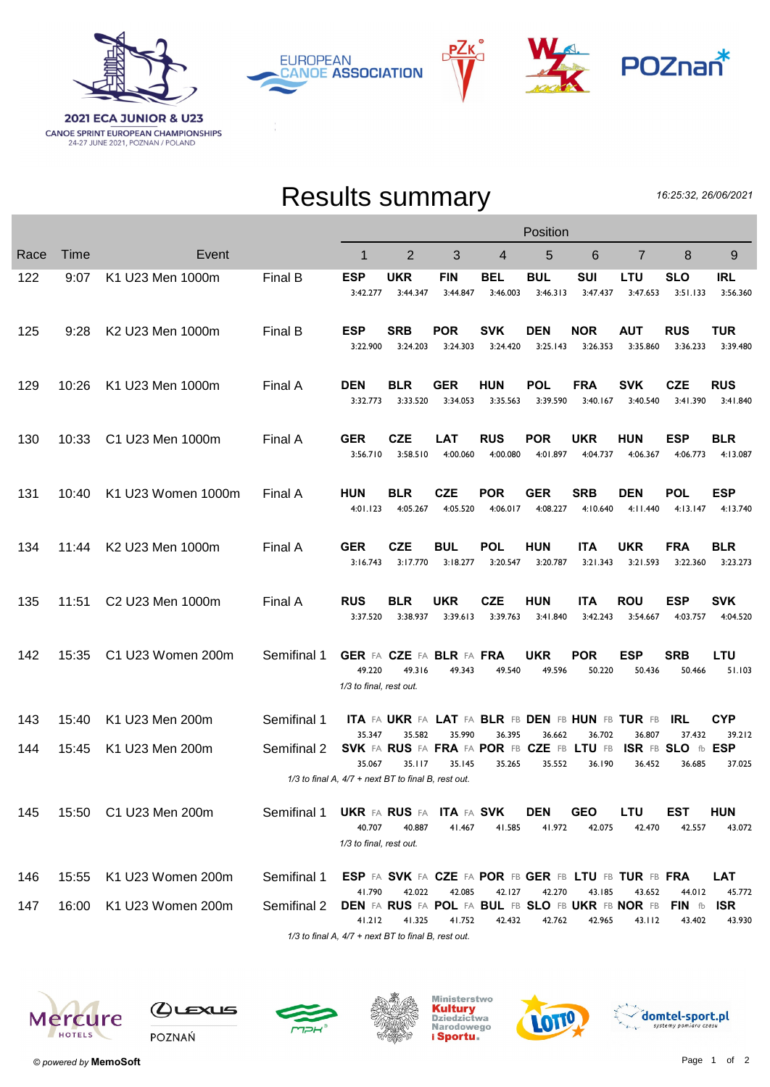

РΖк **EUROPEAN CANOE ASSOCIATION** 



## Results summary

16:25:32, 26/06/2021

| Race | <b>Time</b> | Event                 |                | 1                                                       | 2                                         | 3                      | 4                      | 5                      | 6                      | $\overline{7}$                                                                  | 8                      | 9                      |
|------|-------------|-----------------------|----------------|---------------------------------------------------------|-------------------------------------------|------------------------|------------------------|------------------------|------------------------|---------------------------------------------------------------------------------|------------------------|------------------------|
| 122  | 9:07        | K1 U23 Men 1000m      | Final B        | <b>ESP</b><br>3:42.277                                  | UKR<br>3:44.347                           | <b>FIN</b><br>3:44.847 | <b>BEL</b><br>3:46.003 | BUL<br>3:46.313        | SUI<br>3:47.437        | LTU<br>3:47.653                                                                 | SLO<br>3:51.133        | <b>IRL</b><br>3:56.360 |
| 125  | 9:28        | K2 U23 Men 1000m      | <b>Final B</b> | <b>ESP</b><br>3:22.900                                  | <b>SRB</b><br>3:24.203                    | <b>POR</b><br>3:24.303 | <b>SVK</b><br>3:24.420 | <b>DEN</b><br>3:25.143 | <b>NOR</b><br>3:26.353 | <b>AUT</b><br>3:35.860                                                          | <b>RUS</b><br>3:36.233 | TUR<br>3:39.480        |
| 129  | 10:26       | K1 U23 Men 1000m      | Final A        | <b>DEN</b><br>3:32.773                                  | <b>BLR</b><br>3:33.520                    | <b>GER</b><br>3:34.053 | <b>HUN</b><br>3:35.563 | POL<br>3:39.590        | <b>FRA</b><br>3:40.167 | <b>SVK</b><br>3:40.540                                                          | <b>CZE</b><br>3:41.390 | <b>RUS</b><br>3:41.840 |
| 130  | 10:33       | C1 U23 Men 1000m      | Final A        | <b>GER</b><br>3:56.710                                  | <b>CZE</b><br>3:58.510                    | <b>LAT</b><br>4:00.060 | <b>RUS</b><br>4:00.080 | <b>POR</b><br>4:01.897 | <b>UKR</b><br>4:04.737 | <b>HUN</b><br>4:06.367                                                          | <b>ESP</b><br>4:06.773 | <b>BLR</b><br>4:13.087 |
| 131  | 10:40       | K1 U23 Women 1000m    | Final A        | <b>HUN</b><br>4:01.123                                  | <b>BLR</b><br>4:05.267                    | <b>CZE</b><br>4:05.520 | <b>POR</b><br>4:06.017 | <b>GER</b><br>4:08.227 | <b>SRB</b><br>4:10.640 | <b>DEN</b><br>4:11.440                                                          | <b>POL</b><br>4:13.147 | <b>ESP</b><br>4:13.740 |
| 134  | 11:44       | K2 U23 Men 1000m      | Final A        | <b>GER</b><br>3:16.743                                  | <b>CZE</b><br>3:17.770                    | <b>BUL</b><br>3:18.277 | <b>POL</b><br>3:20.547 | <b>HUN</b><br>3:20.787 | <b>ITA</b><br>3:21.343 | <b>UKR</b><br>3:21.593                                                          | <b>FRA</b><br>3:22.360 | <b>BLR</b><br>3:23.273 |
| 135  | 11:51       | C2 U23 Men 1000m      | Final A        | <b>RUS</b><br>3:37.520                                  | <b>BLR</b><br>3:38.937                    | <b>UKR</b><br>3:39.613 | <b>CZE</b><br>3:39.763 | <b>HUN</b><br>3:41.840 | <b>ITA</b><br>3:42.243 | <b>ROU</b><br>3:54.667                                                          | <b>ESP</b><br>4:03.757 | <b>SVK</b><br>4:04.520 |
| 142  | 15:35       | C1 U23 Women 200m     | Semifinal 1    | 49.220<br>1/3 to final, rest out.                       | GER FA CZE FA BLR FA FRA<br>49.316        | 49.343                 | 49.540                 | <b>UKR</b><br>49.596   | <b>POR</b><br>50.220   | <b>ESP</b><br>50.436                                                            | <b>SRB</b><br>50.466   | LTU<br>51.103          |
| 143  | 15:40       | K1 U23 Men 200m       | Semifinal 1    |                                                         |                                           |                        |                        |                        |                        | ITA FA UKR FA LAT FA BLR FB DEN FB HUN FB TUR FB                                | IRL                    | <b>CYP</b>             |
| 144  | 15:45       | K1 U23 Men 200m       | Semifinal 2    | 35.347<br>35.067                                        | 35.582<br>35.117                          | 35.990<br>35.145       | 36.395<br>35.265       | 36.662<br>35.552       | 36.702<br>36.190       | 36.807<br>SVK FA RUS FA FRA FA POR FB CZE FB LTU FB ISR FB SLO fb ESP<br>36.452 | 37.432<br>36.685       | 39.212<br>37.025       |
|      |             |                       |                | $1/3$ to final A, $4/7$ + next BT to final B, rest out. |                                           |                        |                        |                        |                        |                                                                                 |                        |                        |
| 145  |             | 15:50 C1 U23 Men 200m | Semifinal 1    | 40.707<br>1/3 to final, rest out.                       | <b>UKR FA RUS FA ITA FA SVK</b><br>40.887 | 41.467                 | 41.585                 | DEN<br>41.972          | <b>GEO</b><br>42.075   | LTU<br>42.470                                                                   | <b>EST</b><br>42.557   | <b>HUN</b><br>43.072   |
| 146  | 15:55       | K1 U23 Women 200m     | Semifinal 1    |                                                         |                                           |                        |                        |                        |                        | ESP FA SVK FA CZE FA POR FB GER FB LTU FB TUR FB FRA                            |                        | LAT                    |
| 147  | 16:00       | K1 U23 Women 200m     | Semifinal 2    | 41.790                                                  | 42.022<br>41.325                          | 42.085<br>41.752       | 42.127<br>42.432       | 42.270                 | 43.185                 | 43.652<br><b>DEN FA RUS FA POL FA BUL FB SLO FB UKR FB NOR FB</b>               | 44.012<br>FIN fb       | 45.772<br><b>ISR</b>   |